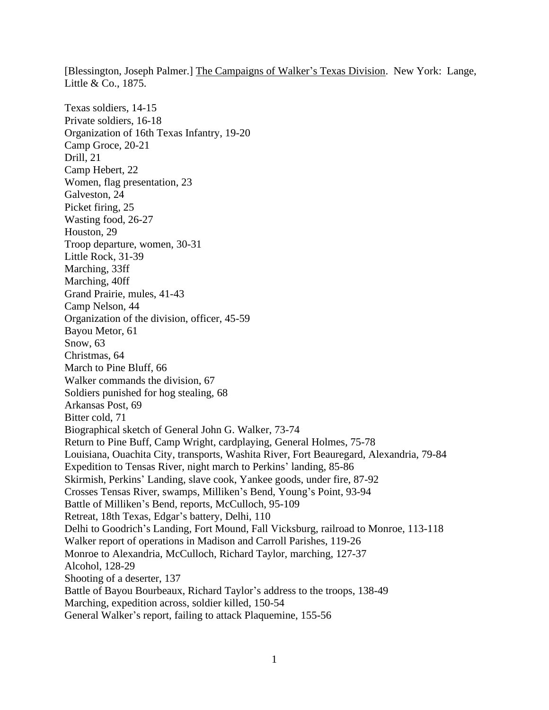[Blessington, Joseph Palmer.] The Campaigns of Walker's Texas Division. New York: Lange, Little & Co., 1875.

Texas soldiers, 14-15 Private soldiers, 16-18 Organization of 16th Texas Infantry, 19-20 Camp Groce, 20-21 Drill, 21 Camp Hebert, 22 Women, flag presentation, 23 Galveston, 24 Picket firing, 25 Wasting food, 26-27 Houston, 29 Troop departure, women, 30-31 Little Rock, 31-39 Marching, 33ff Marching, 40ff Grand Prairie, mules, 41-43 Camp Nelson, 44 Organization of the division, officer, 45-59 Bayou Metor, 61 Snow, 63 Christmas, 64 March to Pine Bluff, 66 Walker commands the division, 67 Soldiers punished for hog stealing, 68 Arkansas Post, 69 Bitter cold, 71 Biographical sketch of General John G. Walker, 73-74 Return to Pine Buff, Camp Wright, cardplaying, General Holmes, 75-78 Louisiana, Ouachita City, transports, Washita River, Fort Beauregard, Alexandria, 79-84 Expedition to Tensas River, night march to Perkins' landing, 85-86 Skirmish, Perkins' Landing, slave cook, Yankee goods, under fire, 87-92 Crosses Tensas River, swamps, Milliken's Bend, Young's Point, 93-94 Battle of Milliken's Bend, reports, McCulloch, 95-109 Retreat, 18th Texas, Edgar's battery, Delhi, 110 Delhi to Goodrich's Landing, Fort Mound, Fall Vicksburg, railroad to Monroe, 113-118 Walker report of operations in Madison and Carroll Parishes, 119-26 Monroe to Alexandria, McCulloch, Richard Taylor, marching, 127-37 Alcohol, 128-29 Shooting of a deserter, 137 Battle of Bayou Bourbeaux, Richard Taylor's address to the troops, 138-49 Marching, expedition across, soldier killed, 150-54 General Walker's report, failing to attack Plaquemine, 155-56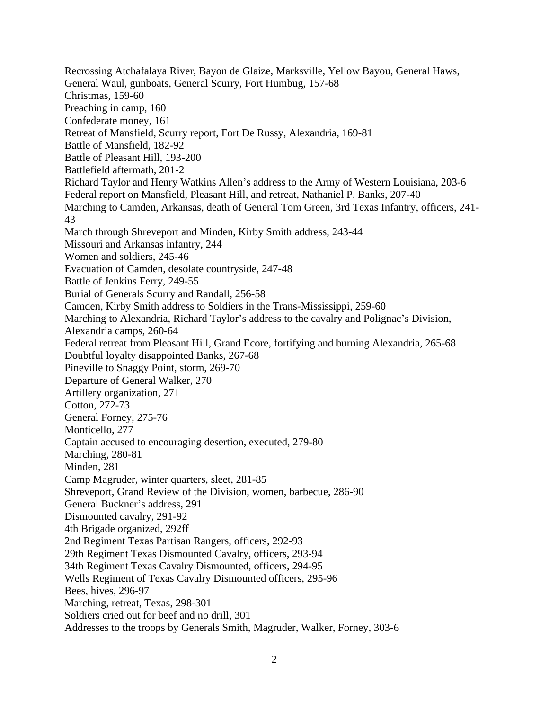Recrossing Atchafalaya River, Bayon de Glaize, Marksville, Yellow Bayou, General Haws, General Waul, gunboats, General Scurry, Fort Humbug, 157-68 Christmas, 159-60 Preaching in camp, 160 Confederate money, 161 Retreat of Mansfield, Scurry report, Fort De Russy, Alexandria, 169-81 Battle of Mansfield, 182-92 Battle of Pleasant Hill, 193-200 Battlefield aftermath, 201-2 Richard Taylor and Henry Watkins Allen's address to the Army of Western Louisiana, 203-6 Federal report on Mansfield, Pleasant Hill, and retreat, Nathaniel P. Banks, 207-40 Marching to Camden, Arkansas, death of General Tom Green, 3rd Texas Infantry, officers, 241- 43 March through Shreveport and Minden, Kirby Smith address, 243-44 Missouri and Arkansas infantry, 244 Women and soldiers, 245-46 Evacuation of Camden, desolate countryside, 247-48 Battle of Jenkins Ferry, 249-55 Burial of Generals Scurry and Randall, 256-58 Camden, Kirby Smith address to Soldiers in the Trans-Mississippi, 259-60 Marching to Alexandria, Richard Taylor's address to the cavalry and Polignac's Division, Alexandria camps, 260-64 Federal retreat from Pleasant Hill, Grand Ecore, fortifying and burning Alexandria, 265-68 Doubtful loyalty disappointed Banks, 267-68 Pineville to Snaggy Point, storm, 269-70 Departure of General Walker, 270 Artillery organization, 271 Cotton, 272-73 General Forney, 275-76 Monticello, 277 Captain accused to encouraging desertion, executed, 279-80 Marching, 280-81 Minden, 281 Camp Magruder, winter quarters, sleet, 281-85 Shreveport, Grand Review of the Division, women, barbecue, 286-90 General Buckner's address, 291 Dismounted cavalry, 291-92 4th Brigade organized, 292ff 2nd Regiment Texas Partisan Rangers, officers, 292-93 29th Regiment Texas Dismounted Cavalry, officers, 293-94 34th Regiment Texas Cavalry Dismounted, officers, 294-95 Wells Regiment of Texas Cavalry Dismounted officers, 295-96 Bees, hives, 296-97 Marching, retreat, Texas, 298-301 Soldiers cried out for beef and no drill, 301 Addresses to the troops by Generals Smith, Magruder, Walker, Forney, 303-6